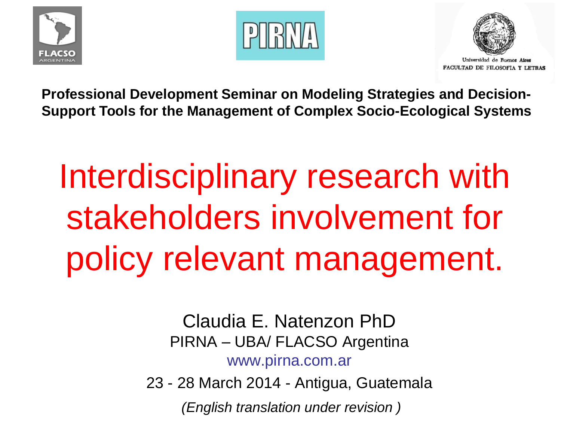





**Professional Development Seminar on Modeling Strategies and Decision-Support Tools for the Management of Complex Socio-Ecological Systems**

# Interdisciplinary research with stakeholders involvement for policy relevant management.

Claudia E. Natenzon PhD PIRNA – UBA/ FLACSO Argentina www.pirna.com.ar

23 - 28 March 2014 - Antigua, Guatemala

*(English translation under revision )*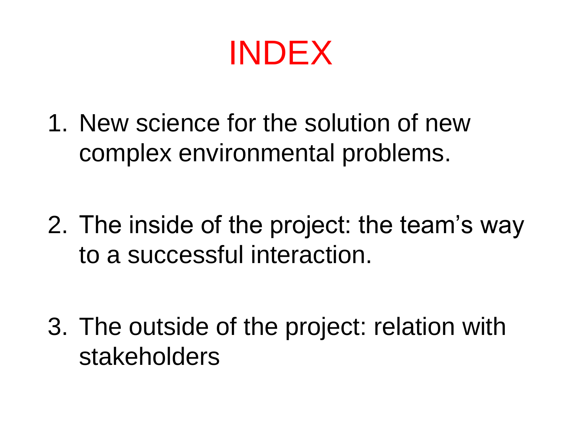INDEX

1. New science for the solution of new complex environmental problems.

2. The inside of the project: the team's way to a successful interaction.

3. The outside of the project: relation with stakeholders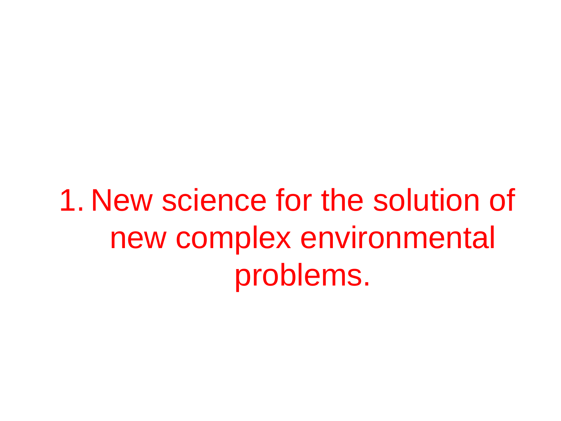1. New science for the solution of new complex environmental problems.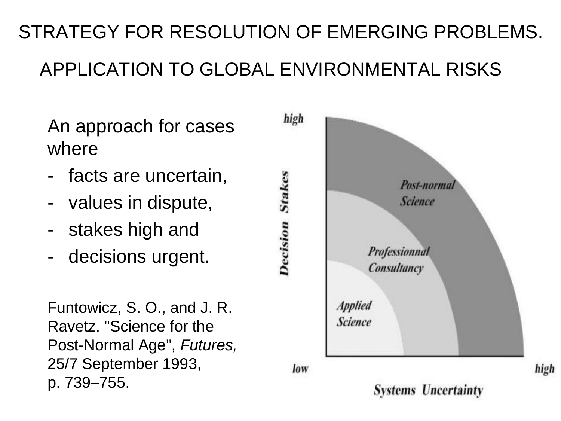#### STRATEGY FOR RESOLUTION OF EMERGING PROBLEMS. APPLICATION TO GLOBAL ENVIRONMENTAL RISKS

- An approach for cases where
- facts are uncertain,
- values in dispute,
- stakes high and
- decisions urgent.

Funtowicz, S. O., and J. R. Ravetz. "Science for the Post-Normal Age", *Futures,* 25/7 September 1993, p. 739–755.



**Systems Uncertainty** 

high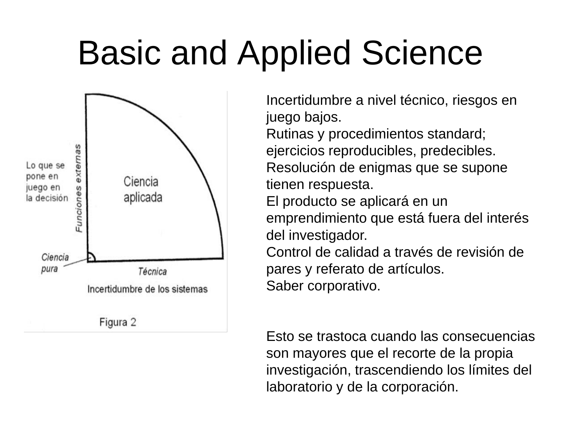# Basic and Applied Science



Incertidumbre a nivel técnico, riesgos en juego bajos.

Rutinas y procedimientos standard; ejercicios reproducibles, predecibles. Resolución de enigmas que se supone tienen respuesta.

El producto se aplicará en un

emprendimiento que está fuera del interés del investigador.

Control de calidad a través de revisión de pares y referato de artículos. Saber corporativo.

Esto se trastoca cuando las consecuencias son mayores que el recorte de la propia investigación, trascendiendo los límites del laboratorio y de la corporación.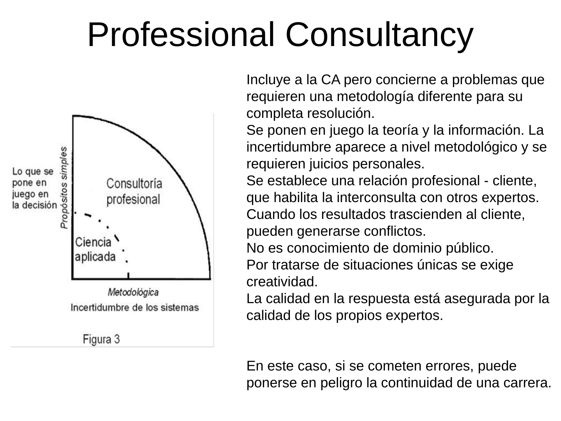# Professional Consultancy



Figura 3

Incluye a la CA pero concierne a problemas que requieren una metodología diferente para su completa resolución.

Se ponen en juego la teoría y la información. La incertidumbre aparece a nivel metodológico y se requieren juicios personales.

Se establece una relación profesional - cliente, que habilita la interconsulta con otros expertos. Cuando los resultados trascienden al cliente, pueden generarse conflictos.

No es conocimiento de dominio público.

Por tratarse de situaciones únicas se exige creatividad.

La calidad en la respuesta está asegurada por la calidad de los propios expertos.

En este caso, si se cometen errores, puede ponerse en peligro la continuidad de una carrera.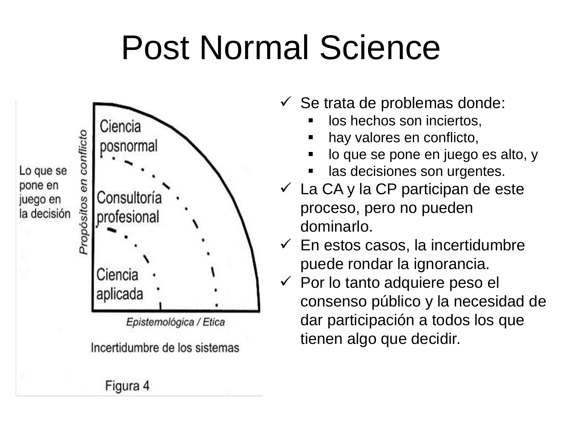# Post Normal Science



Epistemológica / Etica

Incertidumbre de los sistemas

- $\checkmark$  Se trata de problemas donde:
	- los hechos son inciertos,
	- hay valores en conflicto,
	- lo que se pone en juego es alto, y
	- las decisiones son urgentes.
- $\checkmark$  La CA y la CP participan de este proceso, pero no pueden dominarlo.
- $\checkmark$  En estos casos, la incertidumbre puede rondar la ignorancia.
- $\checkmark$  Por lo tanto adquiere peso el consenso público y la necesidad de dar participación a todos los que tienen algo que decidir.

Figura 4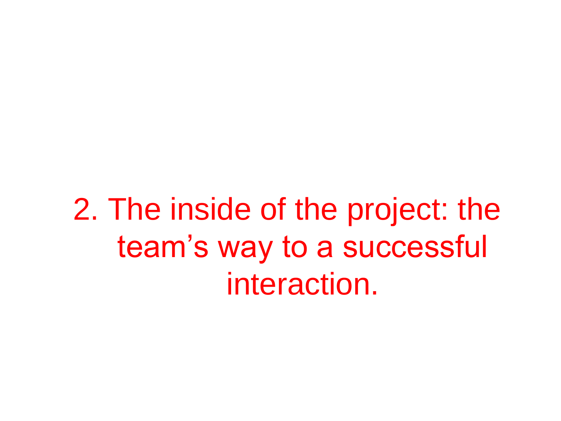2. The inside of the project: the team's way to a successful interaction.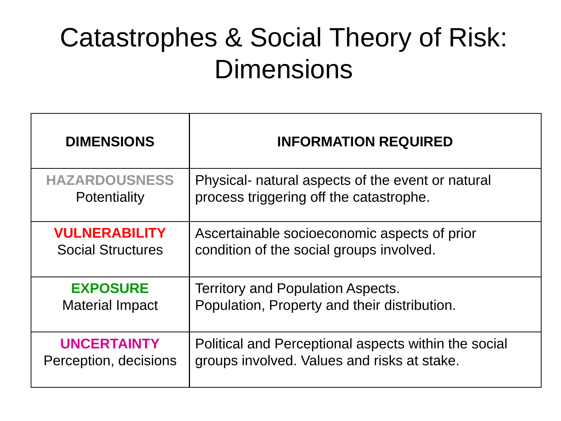### Catastrophes & Social Theory of Risk: **Dimensions**

| <b>DIMENSIONS</b>        | <b>INFORMATION REQUIRED</b>                          |
|--------------------------|------------------------------------------------------|
| <b>HAZARDOUSNESS</b>     | Physical- natural aspects of the event or natural    |
| Potentiality             | process triggering off the catastrophe.              |
| <b>VULNERABILITY</b>     | Ascertainable socioeconomic aspects of prior         |
| <b>Social Structures</b> | condition of the social groups involved.             |
| <b>EXPOSURE</b>          | Territory and Population Aspects.                    |
| <b>Material Impact</b>   | Population, Property and their distribution.         |
| <b>UNCERTAINTY</b>       | Political and Perceptional aspects within the social |
| Perception, decisions    | groups involved. Values and risks at stake.          |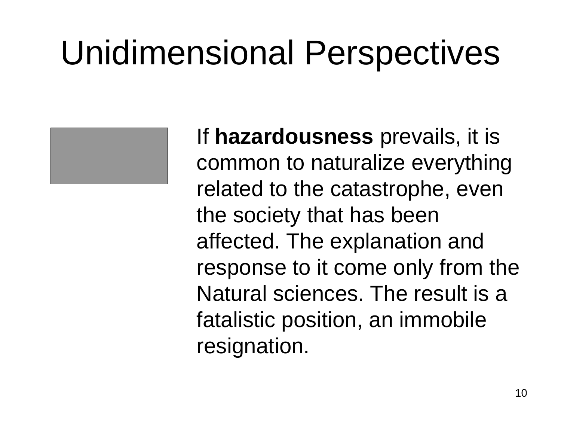

If **hazardousness** prevails, it is common to naturalize everything related to the catastrophe, even the society that has been affected. The explanation and response to it come only from the Natural sciences. The result is a fatalistic position, an immobile resignation.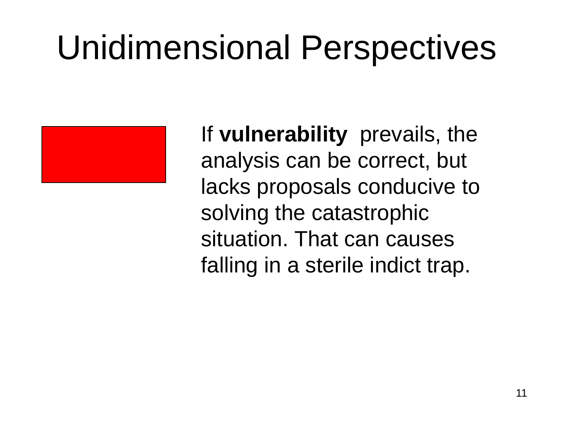

If **vulnerability** prevails, the analysis can be correct, but lacks proposals conducive to solving the catastrophic situation. That can causes falling in a sterile indict trap.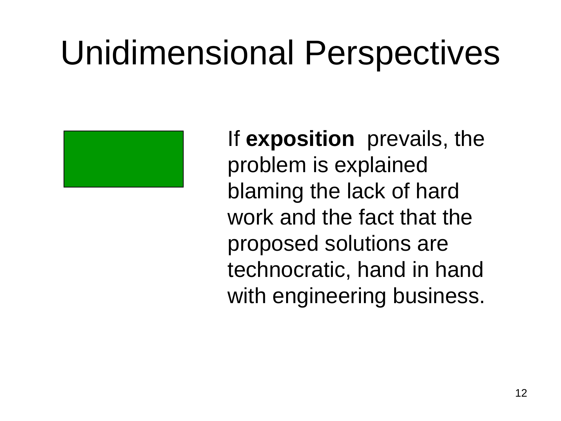

If **exposition** prevails, the problem is explained blaming the lack of hard work and the fact that the proposed solutions are technocratic, hand in hand with engineering business.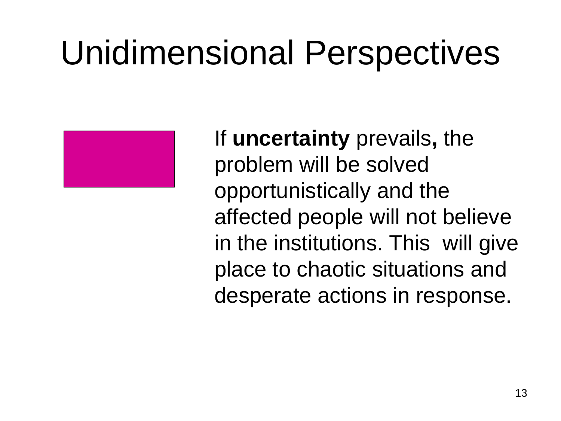

If **uncertainty** prevails**,** the problem will be solved opportunistically and the affected people will not believe in the institutions. This will give place to chaotic situations and desperate actions in response.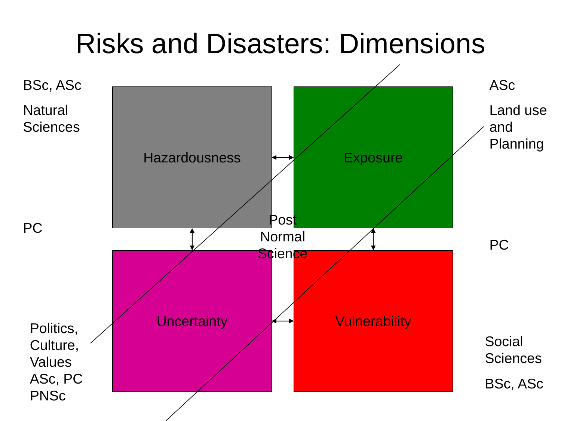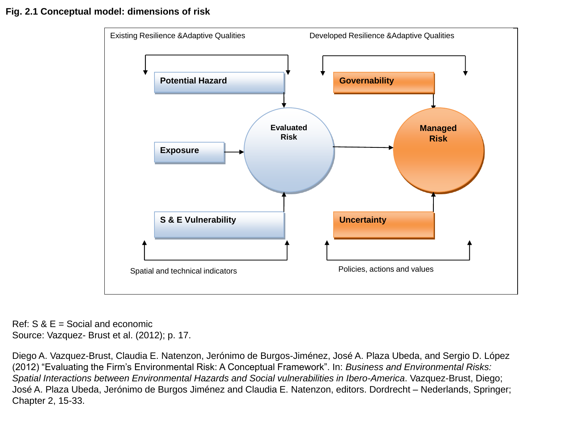#### **Fig. 2.1 Conceptual model: dimensions of risk**



Ref: S & E = Social and economic Source: Vazquez- Brust et al. (2012); p. 17.

Diego A. Vazquez-Brust, Claudia E. Natenzon, Jerónimo de Burgos-Jiménez, José A. Plaza Ubeda, and Sergio D. López (2012) "Evaluating the Firm's Environmental Risk: A Conceptual Framework". In: *Business and Environmental Risks: Spatial Interactions between Environmental Hazards and Social vulnerabilities in Ibero-America*. Vazquez-Brust, Diego; José A. Plaza Ubeda, Jerónimo de Burgos Jiménez and Claudia E. Natenzon, editors. Dordrecht – Nederlands, Springer; Chapter 2, 15-33.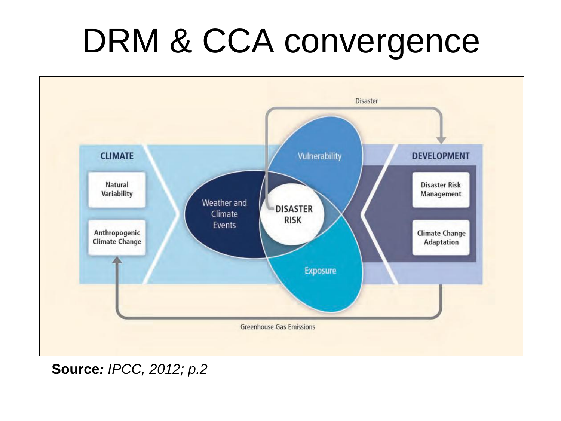# DRM & CCA convergence



**Source***: IPCC, 2012; p.2*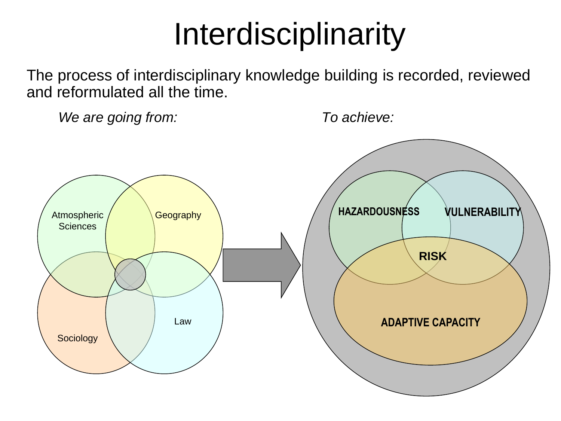## Interdisciplinarity

The process of interdisciplinary knowledge building is recorded, reviewed and reformulated all the time.

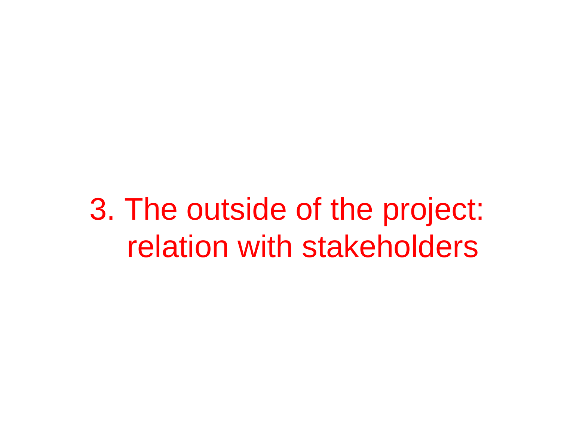3. The outside of the project: relation with stakeholders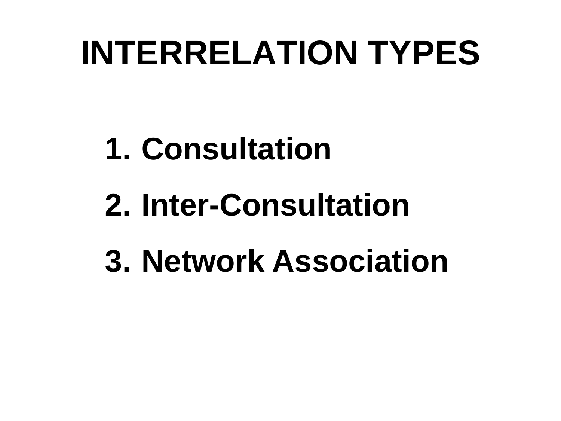# **INTERRELATION TYPES**

# **1. Consultation**

# **2. Inter-Consultation**

**3. Network Association**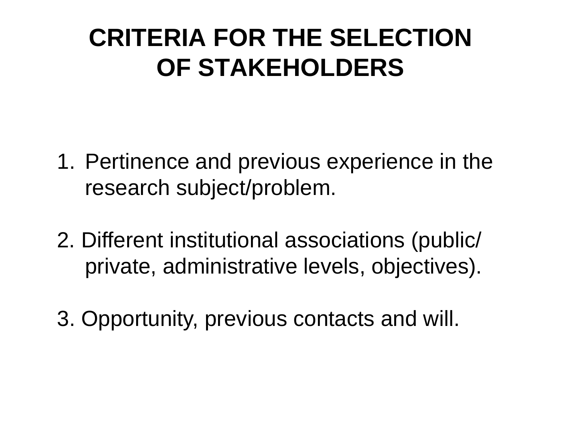#### **CRITERIA FOR THE SELECTION OF STAKEHOLDERS**

- 1. Pertinence and previous experience in the research subject/problem.
- 2. Different institutional associations (public/ private, administrative levels, objectives).
- 3. Opportunity, previous contacts and will.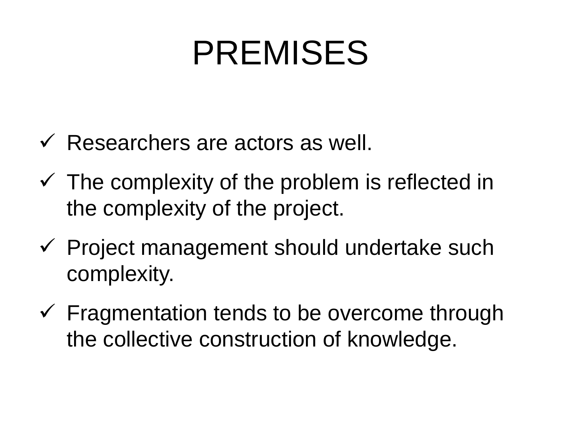# PREMISES

- $\checkmark$  Researchers are actors as well.
- $\checkmark$  The complexity of the problem is reflected in the complexity of the project.
- $\checkmark$  Project management should undertake such complexity.
- $\checkmark$  Fragmentation tends to be overcome through the collective construction of knowledge.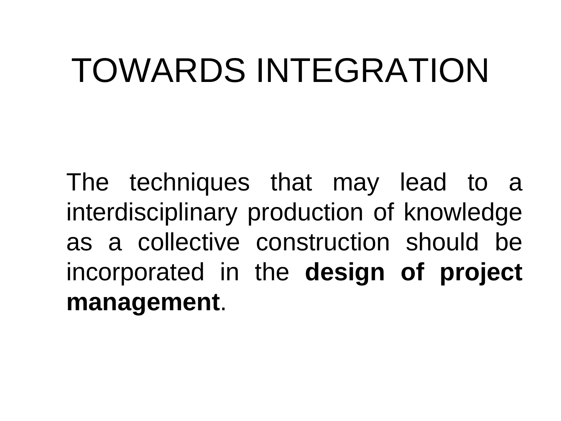# TOWARDS INTEGRATION

The techniques that may lead to a interdisciplinary production of knowledge as a collective construction should be incorporated in the **design of project management**.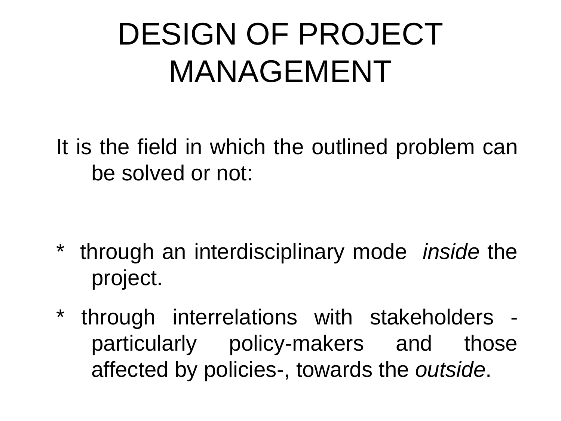# DESIGN OF PROJECT MANAGEMENT

It is the field in which the outlined problem can be solved or not:

- \* through an interdisciplinary mode *inside* the project.
- \* through interrelations with stakeholders particularly policy-makers and those affected by policies-, towards the *outside*.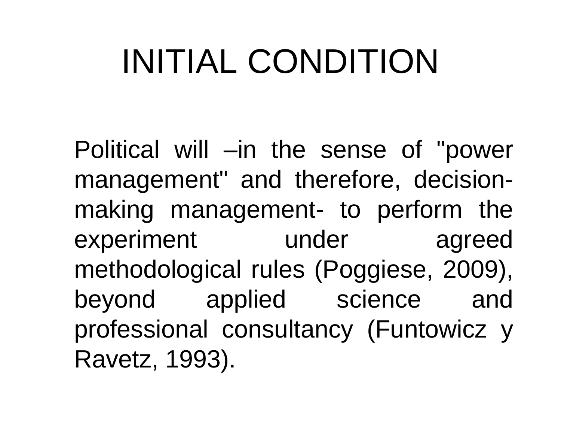# INITIAL CONDITION

Political will –in the sense of "power management" and therefore, decisionmaking management- to perform the experiment under agreed methodological rules (Poggiese, 2009), beyond applied science and professional consultancy (Funtowicz y Ravetz, 1993).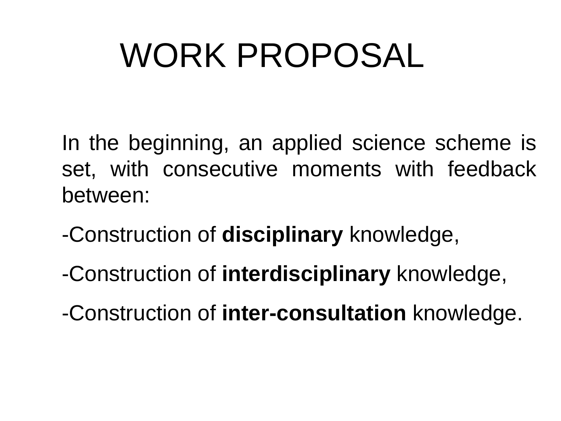# WORK PROPOSAL

In the beginning, an applied science scheme is set, with consecutive moments with feedback between:

- -Construction of **disciplinary** knowledge,
- -Construction of **interdisciplinary** knowledge,
- -Construction of **inter-consultation** knowledge.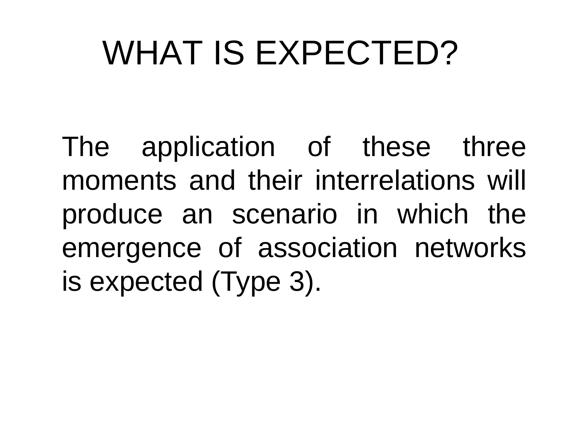# WHAT IS EXPECTED?

The application of these three moments and their interrelations will produce an scenario in which the emergence of association networks is expected (Type 3).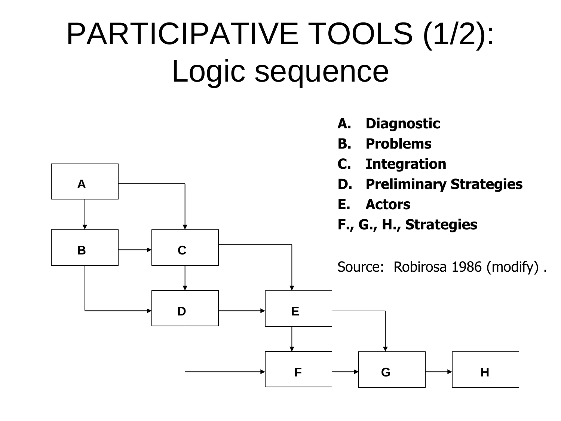# PARTICIPATIVE TOOLS (1/2): Logic sequence

**A. Diagnostic**

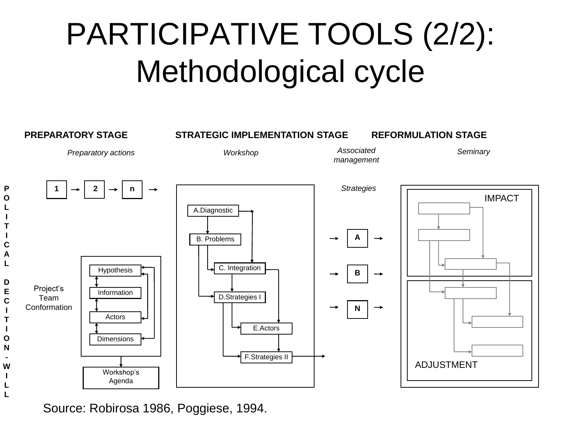# PARTICIPATIVE TOOLS (2/2): Methodological cycle



Source: Robirosa 1986, Poggiese, 1994.